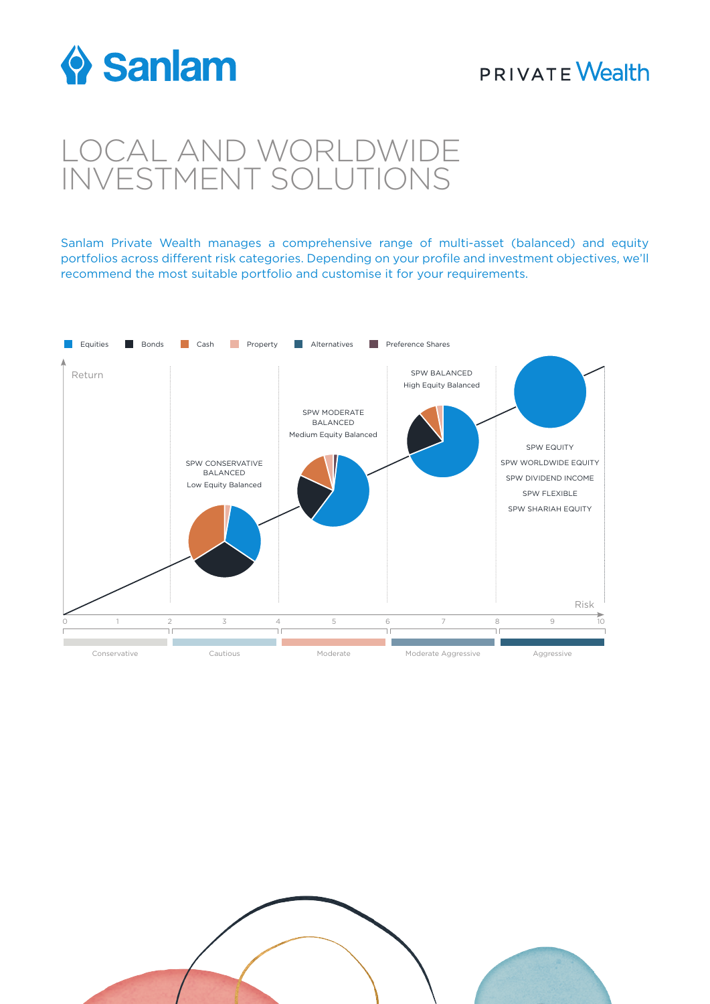

# **PRIVATE Wealth**

# LOCAL AND WORLDWIDE INVESTMENT SOLUTIONS

Sanlam Private Wealth manages a comprehensive range of multi-asset (balanced) and equity portfolios across different risk categories. Depending on your profile and investment objectives, we'll recommend the most suitable portfolio and customise it for your requirements.

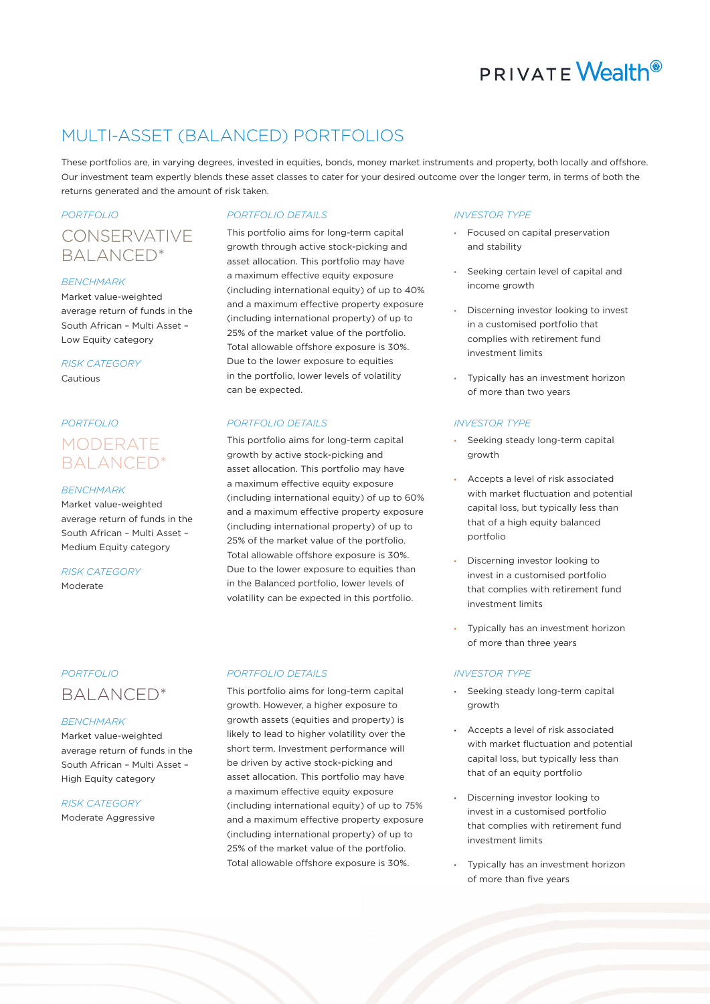# **PRIVATE Wealth**<sup>®</sup>

# MULTI-ASSET (BALANCED) PORTFOLIOS

These portfolios are, in varying degrees, invested in equities, bonds, money market instruments and property, both locally and offshore. Our investment team expertly blends these asset classes to cater for your desired outcome over the longer term, in terms of both the returns generated and the amount of risk taken.

# *PORTFOLIO PORTFOLIO DETAILS INVESTOR TYPE* CONSERVATIVE BALANCED\*

### *BENCHMARK*

Market value-weighted average return of funds in the South African – Multi Asset – Low Equity category

*RISK CATEGORY* Cautious

# *PORTFOLIO PORTFOLIO DETAILS INVESTOR TYPE* MODERATE BALANCED\*

## *BENCHMARK*

Market value-weighted average return of funds in the South African – Multi Asset – Medium Equity category

### *RISK CATEGORY* Moderate

# BALANCED\*

# *BENCHMARK*

Market value-weighted average return of funds in the South African – Multi Asset – High Equity category

## *RISK CATEGORY*

Moderate Aggressive

This portfolio aims for long-term capital growth through active stock-picking and asset allocation. This portfolio may have a maximum effective equity exposure (including international equity) of up to 40% and a maximum effective property exposure (including international property) of up to 25% of the market value of the portfolio. Total allowable offshore exposure is 30%. Due to the lower exposure to equities in the portfolio, lower levels of volatility can be expected.

This portfolio aims for long-term capital growth by active stock-picking and asset allocation. This portfolio may have a maximum effective equity exposure (including international equity) of up to 60% and a maximum effective property exposure (including international property) of up to 25% of the market value of the portfolio. Total allowable offshore exposure is 30%. Due to the lower exposure to equities than in the Balanced portfolio, lower levels of volatility can be expected in this portfolio.

# *PORTFOLIO PORTFOLIO DETAILS INVESTOR TYPE*

This portfolio aims for long-term capital growth. However, a higher exposure to growth assets (equities and property) is likely to lead to higher volatility over the short term. Investment performance will be driven by active stock-picking and asset allocation. This portfolio may have a maximum effective equity exposure (including international equity) of up to 75% and a maximum effective property exposure (including international property) of up to 25% of the market value of the portfolio. Total allowable offshore exposure is 30%.

- Focused on capital preservation and stability
- Seeking certain level of capital and income growth
- Discerning investor looking to invest in a customised portfolio that complies with retirement fund investment limits
- Typically has an investment horizon of more than two years

- Seeking steady long-term capital growth
- Accepts a level of risk associated with market fluctuation and potential capital loss, but typically less than that of a high equity balanced portfolio
- Discerning investor looking to invest in a customised portfolio that complies with retirement fund investment limits
- Typically has an investment horizon of more than three years

- Seeking steady long-term capital growth
- Accepts a level of risk associated with market fluctuation and potential capital loss, but typically less than that of an equity portfolio
- Discerning investor looking to invest in a customised portfolio that complies with retirement fund investment limits
- Typically has an investment horizon of more than five years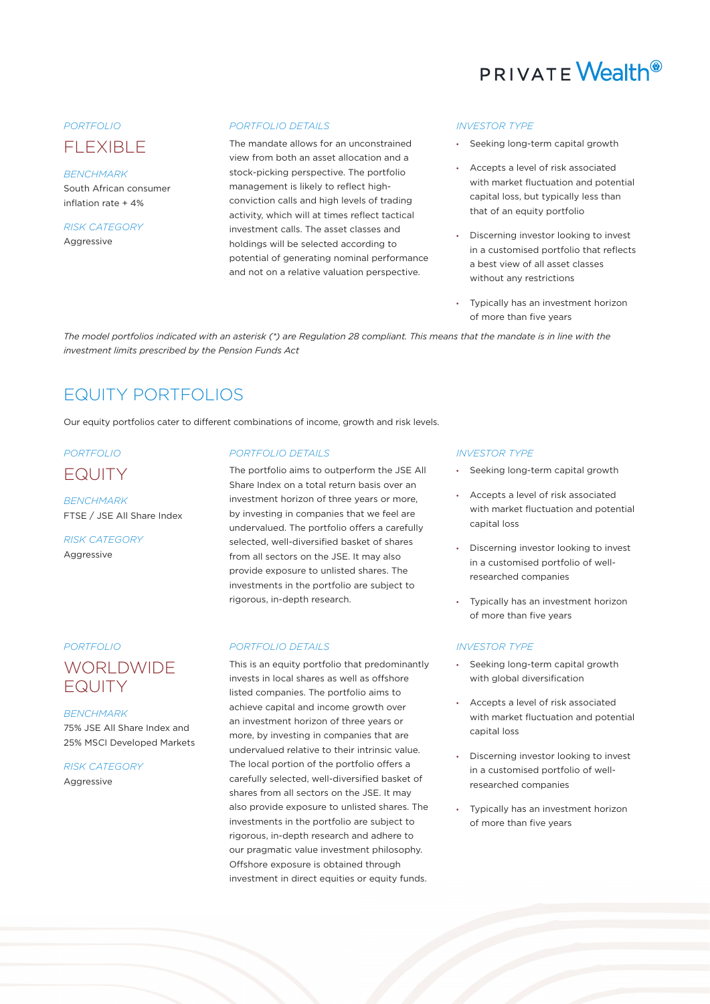

# FLEXIBLE

### *BENCHMARK*

South African consumer inflation rate + 4%

*RISK CATEGORY* Aggressive

### *PORTFOLIO PORTFOLIO DETAILS INVESTOR TYPE*

The mandate allows for an unconstrained view from both an asset allocation and a stock-picking perspective. The portfolio management is likely to reflect highconviction calls and high levels of trading activity, which will at times reflect tactical investment calls. The asset classes and holdings will be selected according to potential of generating nominal performance and not on a relative valuation perspective.

- Seeking long-term capital growth
- Accepts a level of risk associated with market fluctuation and potential capital loss, but typically less than that of an equity portfolio
- Discerning investor looking to invest in a customised portfolio that reflects a best view of all asset classes without any restrictions
- Typically has an investment horizon of more than five years

*The model portfolios indicated with an asterisk (\*) are Regulation 28 compliant. This means that the mandate is in line with the investment limits prescribed by the Pension Funds Act*

# EQUITY PORTFOLIOS

Our equity portfolios cater to different combinations of income, growth and risk levels.

# EQUITY

*BENCHMARK* FTSE / JSE All Share Index

*RISK CATEGORY* Aggressive

# WORLDWIDE EQUITY

## *BENCHMARK*

75% JSE All Share Index and 25% MSCI Developed Markets

*RISK CATEGORY* Aggressive

# *PORTFOLIO PORTFOLIO DETAILS INVESTOR TYPE*

The portfolio aims to outperform the JSE All Share Index on a total return basis over an investment horizon of three years or more, by investing in companies that we feel are undervalued. The portfolio offers a carefully selected, well-diversified basket of shares from all sectors on the JSE. It may also provide exposure to unlisted shares. The investments in the portfolio are subject to rigorous, in-depth research.

### *PORTFOLIO PORTFOLIO DETAILS INVESTOR TYPE*

This is an equity portfolio that predominantly invests in local shares as well as offshore listed companies. The portfolio aims to achieve capital and income growth over an investment horizon of three years or more, by investing in companies that are undervalued relative to their intrinsic value. The local portion of the portfolio offers a carefully selected, well-diversified basket of shares from all sectors on the JSE. It may also provide exposure to unlisted shares. The investments in the portfolio are subject to rigorous, in-depth research and adhere to our pragmatic value investment philosophy. Offshore exposure is obtained through investment in direct equities or equity funds.

- Seeking long-term capital growth
- Accepts a level of risk associated with market fluctuation and potential capital loss
- Discerning investor looking to invest in a customised portfolio of wellresearched companies
- Typically has an investment horizon of more than five years

- Seeking long-term capital growth with global diversification
- Accepts a level of risk associated with market fluctuation and potential capital loss
- Discerning investor looking to invest in a customised portfolio of wellresearched companies
- Typically has an investment horizon of more than five years